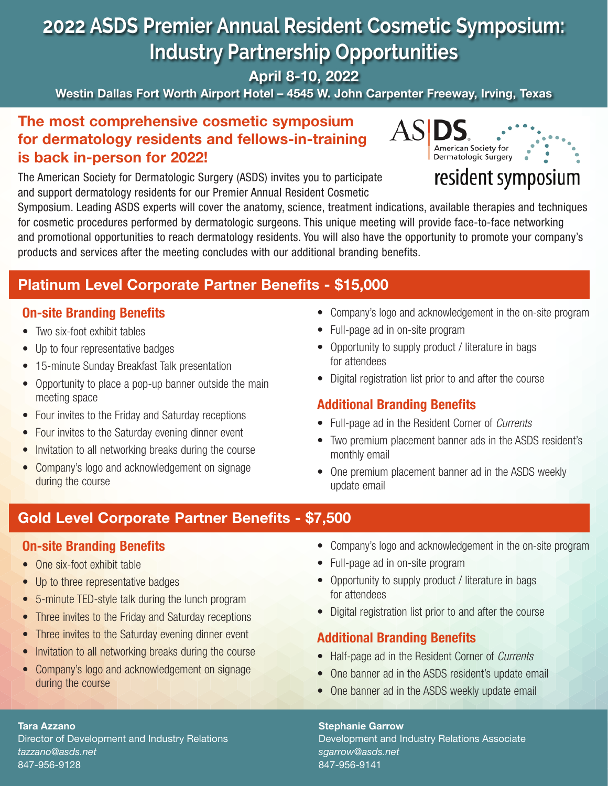# **2022 ASDS Premier Annual Resident Cosmetic Symposium: Industry Partnership Opportunities**

April 8-10, 2022

Westin Dallas Fort Worth Airport Hotel – 4545 W. John Carpenter Freeway, Irving, Texas

## The most comprehensive cosmetic symposium for dermatology residents and fellows-in-training is back in-person for 2022!

The American Society for Dermatologic Surgery (ASDS) invites you to participate and support dermatology residents for our Premier Annual Resident Cosmetic



# resident symposium

Symposium. Leading ASDS experts will cover the anatomy, science, treatment indications, available therapies and techniques for cosmetic procedures performed by dermatologic surgeons. This unique meeting will provide face-to-face networking and promotional opportunities to reach dermatology residents. You will also have the opportunity to promote your company's products and services after the meeting concludes with our additional branding benefits.

# Platinum Level Corporate Partner Benefits - \$15,000

## On-site Branding Benefits

- Two six-foot exhibit tables
- Up to four representative badges
- 15-minute Sunday Breakfast Talk presentation
- Opportunity to place a pop-up banner outside the main meeting space
- Four invites to the Friday and Saturday receptions
- Four invites to the Saturday evening dinner event
- Invitation to all networking breaks during the course
- Company's logo and acknowledgement on signage during the course
- Company's logo and acknowledgement in the on-site program
- Full-page ad in on-site program
- Opportunity to supply product / literature in bags for attendees
- Digital registration list prior to and after the course

## Additional Branding Benefits

- Full-page ad in the Resident Corner of *Currents*
- Two premium placement banner ads in the ASDS resident's monthly email
- One premium placement banner ad in the ASDS weekly update email

# Gold Level Corporate Partner Benefits - \$7,500

### On-site Branding Benefits

- One six-foot exhibit table
- Up to three representative badges
- 5-minute TED-style talk during the lunch program
- Three invites to the Friday and Saturday receptions
- Three invites to the Saturday evening dinner event
- Invitation to all networking breaks during the course
- Company's logo and acknowledgement on signage during the course
- Company's logo and acknowledgement in the on-site program
- Full-page ad in on-site program
- Opportunity to supply product / literature in bags for attendees
- Digital registration list prior to and after the course

## Additional Branding Benefits

- Half-page ad in the Resident Corner of *Currents*
- One banner ad in the ASDS resident's update email
- One banner ad in the ASDS weekly update email

Stephanie Garrow Development and Industry Relations Associate *sgarrow@asds.net* 847-956-9141

#### Tara Azzano

Director of Development and Industry Relations *tazzano@asds.net* 847-956-9128